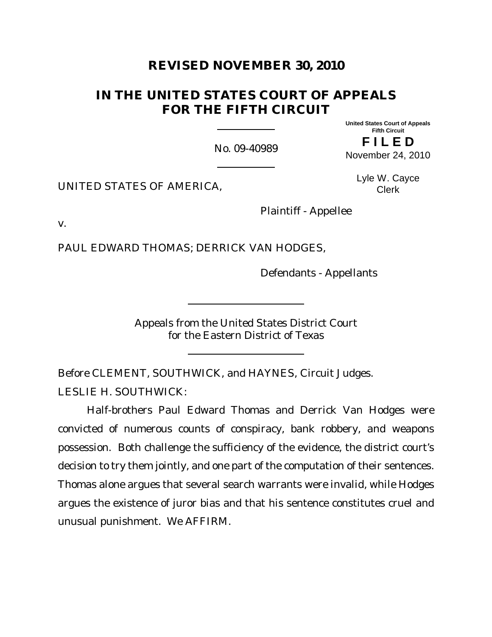# **REVISED NOVEMBER 30, 2010**

# **IN THE UNITED STATES COURT OF APPEALS FOR THE FIFTH CIRCUIT**

No. 09-40989

**United States Court of Appeals Fifth Circuit**

**F I L E D** November 24, 2010

UNITED STATES OF AMERICA,

Lyle W. Cayce Clerk

v.

PAUL EDWARD THOMAS; DERRICK VAN HODGES,

Defendants - Appellants

Plaintiff - Appellee

Appeals from the United States District Court for the Eastern District of Texas

Before CLEMENT, SOUTHWICK, and HAYNES, Circuit Judges.

LESLIE H. SOUTHWICK:

Half-brothers Paul Edward Thomas and Derrick Van Hodges were convicted of numerous counts of conspiracy, bank robbery, and weapons possession. Both challenge the sufficiency of the evidence, the district court's decision to try them jointly, and one part of the computation of their sentences. Thomas alone argues that several search warrants were invalid, while Hodges argues the existence of juror bias and that his sentence constitutes cruel and unusual punishment. We AFFIRM.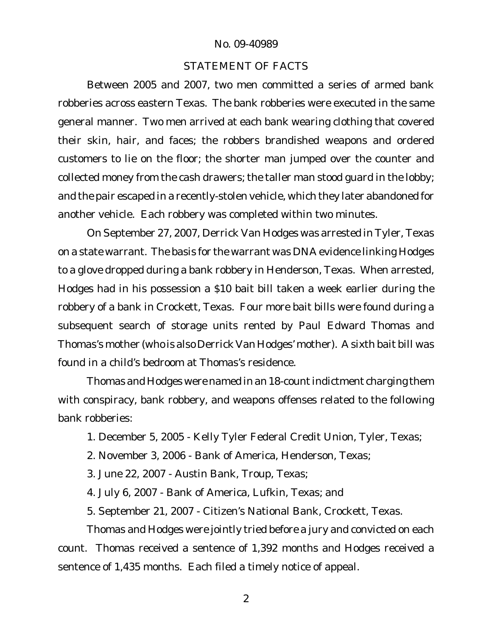### STATEMENT OF FACTS

Between 2005 and 2007, two men committed a series of armed bank robberies across eastern Texas. The bank robberies were executed in the same general manner. Two men arrived at each bank wearing clothing that covered their skin, hair, and faces; the robbers brandished weapons and ordered customers to lie on the floor; the shorter man jumped over the counter and collected money from the cash drawers; the taller man stood guard in the lobby; and the pair escaped in a recently-stolen vehicle, which they later abandoned for another vehicle. Each robbery was completed within two minutes.

On September 27, 2007, Derrick Van Hodges was arrested in Tyler, Texas on a state warrant. The basis for the warrant was DNA evidence linking Hodges to a glove dropped during a bank robbery in Henderson, Texas. When arrested, Hodges had in his possession a \$10 bait bill taken a week earlier during the robbery of a bank in Crockett, Texas. Four more bait bills were found during a subsequent search of storage units rented by Paul Edward Thomas and Thomas's mother (who is also Derrick Van Hodges' mother). A sixth bait bill was found in a child's bedroom at Thomas's residence.

Thomas and Hodges were named in an 18-count indictment charging them with conspiracy, bank robbery, and weapons offenses related to the following bank robberies:

1. December 5, 2005 - Kelly Tyler Federal Credit Union, Tyler, Texas;

2. November 3, 2006 - Bank of America, Henderson, Texas;

3. June 22, 2007 - Austin Bank, Troup, Texas;

4. July 6, 2007 - Bank of America, Lufkin, Texas; and

5. September 21, 2007 - Citizen's National Bank, Crockett, Texas.

Thomas and Hodges were jointly tried before a jury and convicted on each count. Thomas received a sentence of 1,392 months and Hodges received a sentence of 1,435 months. Each filed a timely notice of appeal.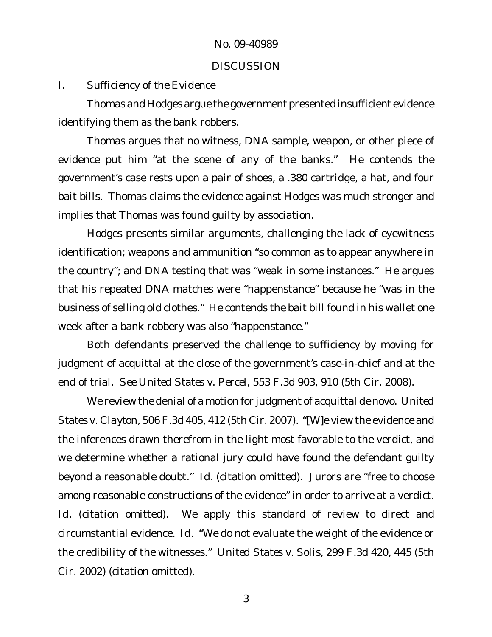### **DISCUSSION**

## *I. Sufficiency of the Evidence*

Thomas and Hodges argue the government presented insufficient evidence identifying them as the bank robbers.

Thomas argues that no witness, DNA sample, weapon, or other piece of evidence put him "at the scene of any of the banks." He contends the government's case rests upon a pair of shoes, a .380 cartridge, a hat, and four bait bills. Thomas claims the evidence against Hodges was much stronger and implies that Thomas was found guilty by association.

Hodges presents similar arguments, challenging the lack of eyewitness identification; weapons and ammunition "so common as to appear anywhere in the country"; and DNA testing that was "weak in some instances." He argues that his repeated DNA matches were "happenstance" because he "was in the business of selling old clothes." He contends the bait bill found in his wallet one week after a bank robbery was also "happenstance."

Both defendants preserved the challenge to sufficiency by moving for judgment of acquittal at the close of the government's case-in-chief and at the end of trial. *See United States v. Percel*, 553 F.3d 903, 910 (5th Cir. 2008).

We review the denial of a motion for judgment of acquittal *de novo*. *United States v. Clayton*, 506 F.3d 405, 412 (5th Cir. 2007). "[W]e view the evidence and the inferences drawn therefrom in the light most favorable to the verdict, and we determine whether a rational jury could have found the defendant guilty beyond a reasonable doubt." *Id.* (citation omitted). Jurors are "free to choose among reasonable constructions of the evidence" in order to arrive at a verdict. *Id.* (citation omitted). We apply this standard of review to direct and circumstantial evidence. *Id.* "We do not evaluate the weight of the evidence or the credibility of the witnesses." *United States v. Solis*, 299 F.3d 420, 445 (5th Cir. 2002) (citation omitted).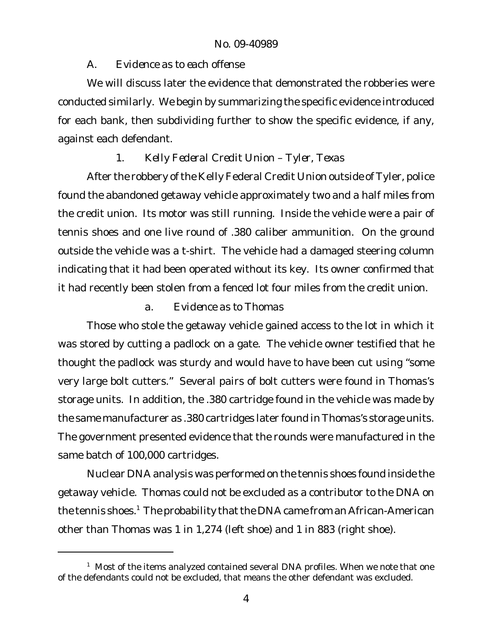# *A. Evidence as to each offense*

We will discuss later the evidence that demonstrated the robberies were conducted similarly. We begin by summarizing the specific evidence introduced for each bank, then subdividing further to show the specific evidence, if any, against each defendant.

# *1. Kelly Federal Credit Union – Tyler, Texas*

After the robbery of the Kelly Federal Credit Union outside of Tyler, police found the abandoned getaway vehicle approximately two and a half miles from the credit union. Its motor was still running. Inside the vehicle were a pair of tennis shoes and one live round of .380 caliber ammunition. On the ground outside the vehicle was a t-shirt. The vehicle had a damaged steering column indicating that it had been operated without its key. Its owner confirmed that it had recently been stolen from a fenced lot four miles from the credit union.

# *a. Evidence as to Thomas*

Those who stole the getaway vehicle gained access to the lot in which it was stored by cutting a padlock on a gate. The vehicle owner testified that he thought the padlock was sturdy and would have to have been cut using "some very large bolt cutters." Several pairs of bolt cutters were found in Thomas's storage units. In addition, the .380 cartridge found in the vehicle was made by the same manufacturer as .380 cartridges later found in Thomas's storage units. The government presented evidence that the rounds were manufactured in the same batch of 100,000 cartridges.

Nuclear DNA analysis was performed on the tennis shoes found inside the getaway vehicle. Thomas could not be excluded as a contributor to the DNA on the tennis shoes.<sup>1</sup> The probability that the DNA came from an African-American other than Thomas was 1 in 1,274 (left shoe) and 1 in 883 (right shoe).

 $1$  Most of the items analyzed contained several DNA profiles. When we note that one of the defendants could not be excluded, that means the other defendant was excluded.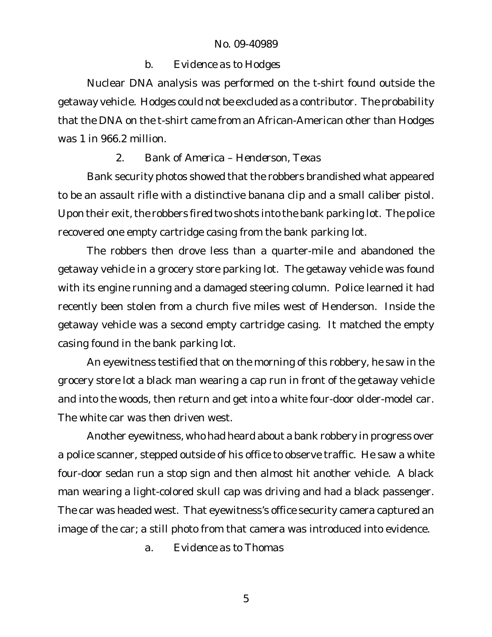## *b. Evidence as to Hodges*

Nuclear DNA analysis was performed on the t-shirt found outside the getaway vehicle. Hodges could not be excluded as a contributor. The probability that the DNA on the t-shirt came from an African-American other than Hodges was 1 in 966.2 million.

## *2. Bank of America – Henderson, Texas*

Bank security photos showed that the robbers brandished what appeared to be an assault rifle with a distinctive banana clip and a small caliber pistol. Upon their exit, the robbers fired two shots into the bank parking lot. The police recovered one empty cartridge casing from the bank parking lot.

The robbers then drove less than a quarter-mile and abandoned the getaway vehicle in a grocery store parking lot. The getaway vehicle was found with its engine running and a damaged steering column. Police learned it had recently been stolen from a church five miles west of Henderson. Inside the getaway vehicle was a second empty cartridge casing. It matched the empty casing found in the bank parking lot.

An eyewitness testified that on the morning of this robbery, he saw in the grocery store lot a black man wearing a cap run in front of the getaway vehicle and into the woods, then return and get into a white four-door older-model car. The white car was then driven west.

Another eyewitness, who had heard about a bank robbery in progress over a police scanner, stepped outside of his office to observe traffic. He saw a white four-door sedan run a stop sign and then almost hit another vehicle. A black man wearing a light-colored skull cap was driving and had a black passenger. The car was headed west. That eyewitness's office security camera captured an image of the car; a still photo from that camera was introduced into evidence.

*a. Evidence as to Thomas*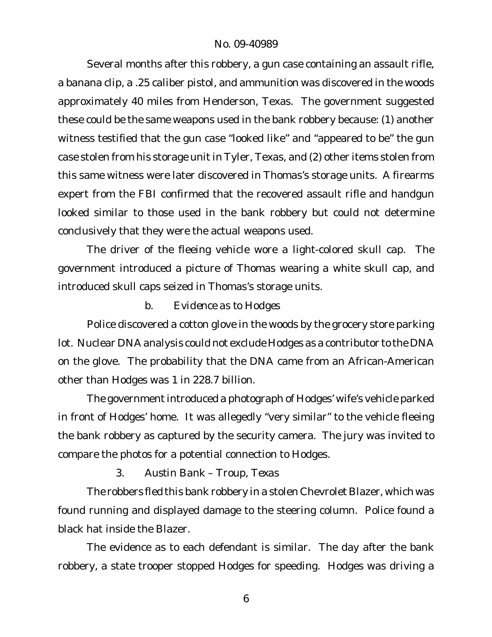Several months after this robbery, a gun case containing an assault rifle, a banana clip, a .25 caliber pistol, and ammunition was discovered in the woods approximately 40 miles from Henderson, Texas. The government suggested these could be the same weapons used in the bank robbery because: (1) another witness testified that the gun case "looked like" and "appeared to be" the gun case stolen from his storage unit in Tyler, Texas, and (2) other items stolen from this same witness were later discovered in Thomas's storage units. A firearms expert from the FBI confirmed that the recovered assault rifle and handgun looked similar to those used in the bank robbery but could not determine conclusively that they were the actual weapons used.

The driver of the fleeing vehicle wore a light-colored skull cap. The government introduced a picture of Thomas wearing a white skull cap, and introduced skull caps seized in Thomas's storage units.

*b. Evidence as to Hodges*

Police discovered a cotton glove in the woods by the grocery store parking lot. Nuclear DNA analysis could not exclude Hodges as a contributor to the DNA on the glove. The probability that the DNA came from an African-American other than Hodges was 1 in 228.7 billion.

The government introduced a photograph of Hodges' wife's vehicle parked in front of Hodges' home. It was allegedly "very similar" to the vehicle fleeing the bank robbery as captured by the security camera. The jury was invited to compare the photos for a potential connection to Hodges.

*3. Austin Bank – Troup, Texas*

The robbers fled this bank robbery in a stolen Chevrolet Blazer, which was found running and displayed damage to the steering column. Police found a black hat inside the Blazer.

The evidence as to each defendant is similar. The day after the bank robbery, a state trooper stopped Hodges for speeding. Hodges was driving a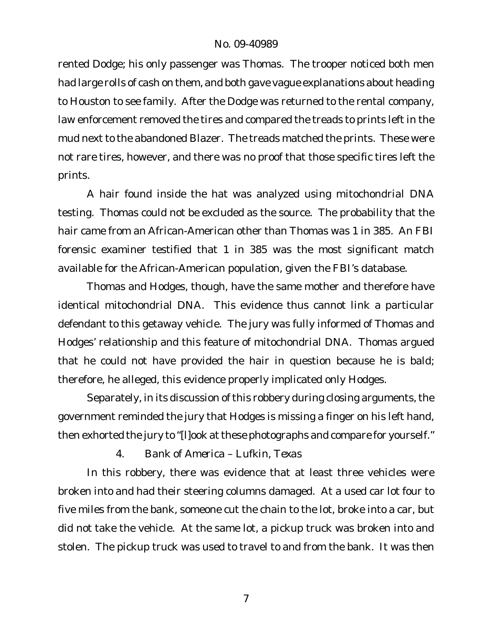rented Dodge; his only passenger was Thomas. The trooper noticed both men had large rolls of cash on them, and both gave vague explanations about heading to Houston to see family. After the Dodge was returned to the rental company, law enforcement removed the tires and compared the treads to prints left in the mud next to the abandoned Blazer. The treads matched the prints. These were not rare tires, however, and there was no proof that those specific tires left the prints.

A hair found inside the hat was analyzed using mitochondrial DNA testing. Thomas could not be excluded as the source. The probability that the hair came from an African-American other than Thomas was 1 in 385. An FBI forensic examiner testified that 1 in 385 was the most significant match available for the African-American population, given the FBI's database.

Thomas and Hodges, though, have the same mother and therefore have identical mitochondrial DNA. This evidence thus cannot link a particular defendant to this getaway vehicle. The jury was fully informed of Thomas and Hodges' relationship and this feature of mitochondrial DNA. Thomas argued that he could not have provided the hair in question because he is bald; therefore, he alleged, this evidence properly implicated only Hodges.

Separately, in its discussion of this robbery during closing arguments, the government reminded the jury that Hodges is missing a finger on his left hand, then exhorted the jury to "[I]ook at these photographs and compare for yourself."

*4. Bank of America – Lufkin, Texas*

In this robbery, there was evidence that at least three vehicles were broken into and had their steering columns damaged. At a used car lot four to five miles from the bank, someone cut the chain to the lot, broke into a car, but did not take the vehicle. At the same lot, a pickup truck was broken into and stolen. The pickup truck was used to travel to and from the bank. It was then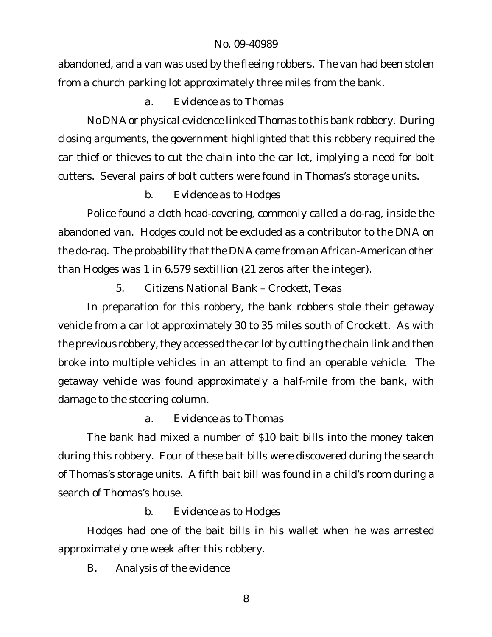abandoned, and a van was used by the fleeing robbers. The van had been stolen from a church parking lot approximately three miles from the bank.

# *a. Evidence as to Thomas*

No DNA or physical evidence linked Thomas to this bank robbery. During closing arguments, the government highlighted that this robbery required the car thief or thieves to cut the chain into the car lot, implying a need for bolt cutters. Several pairs of bolt cutters were found in Thomas's storage units.

# *b. Evidence as to Hodges*

Police found a cloth head-covering, commonly called a do-rag, inside the abandoned van. Hodges could not be excluded as a contributor to the DNA on the do-rag. The probability that the DNA came from an African-American other than Hodges was 1 in 6.579 sextillion (21 zeros after the integer).

*5. Citizens National Bank – Crockett, Texas*

In preparation for this robbery, the bank robbers stole their getaway vehicle from a car lot approximately 30 to 35 miles south of Crockett. As with the previous robbery, they accessed the car lot by cutting the chain link and then broke into multiple vehicles in an attempt to find an operable vehicle. The getaway vehicle was found approximately a half-mile from the bank, with damage to the steering column.

# *a. Evidence as to Thomas*

The bank had mixed a number of \$10 bait bills into the money taken during this robbery. Four of these bait bills were discovered during the search of Thomas's storage units. A fifth bait bill was found in a child's room during a search of Thomas's house.

*b. Evidence as to Hodges*

Hodges had one of the bait bills in his wallet when he was arrested approximately one week after this robbery.

*B. Analysis of the evidence*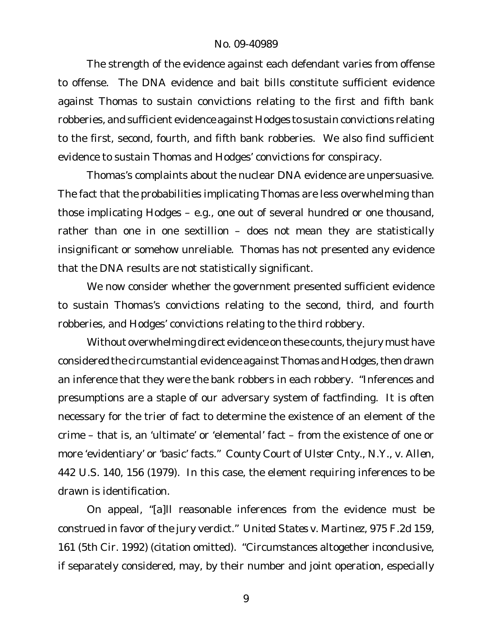The strength of the evidence against each defendant varies from offense to offense. The DNA evidence and bait bills constitute sufficient evidence against Thomas to sustain convictions relating to the first and fifth bank robberies, and sufficient evidence against Hodges to sustain convictions relating to the first, second, fourth, and fifth bank robberies. We also find sufficient evidence to sustain Thomas and Hodges' convictions for conspiracy.

Thomas's complaints about the nuclear DNA evidence are unpersuasive. The fact that the probabilities implicating Thomas are less overwhelming than those implicating Hodges – e.g., one out of several hundred or one thousand, rather than one in one sextillion – does not mean they are statistically insignificant or somehow unreliable. Thomas has not presented any evidence that the DNA results are not statistically significant.

We now consider whether the government presented sufficient evidence to sustain Thomas's convictions relating to the second, third, and fourth robberies, and Hodges' convictions relating to the third robbery.

Without overwhelming direct evidence on these counts, the jury must have considered the circumstantial evidence againstThomas and Hodges, then drawn an inference that they were the bank robbers in each robbery. "Inferences and presumptions are a staple of our adversary system of factfinding. It is often necessary for the trier of fact to determine the existence of an element of the crime – that is, an 'ultimate' or 'elemental' fact – from the existence of one or more 'evidentiary' or 'basic' facts." *County Court of Ulster Cnty., N.Y., v. Allen*, 442 U.S. 140, 156 (1979). In this case, the element requiring inferences to be drawn is identification.

On appeal, "[a]ll reasonable inferences from the evidence must be construed in favor of the jury verdict." *United States v. Martinez*, 975 F.2d 159, 161 (5th Cir. 1992) (citation omitted). "Circumstances altogether inconclusive, if separately considered, may, by their number and joint operation, especially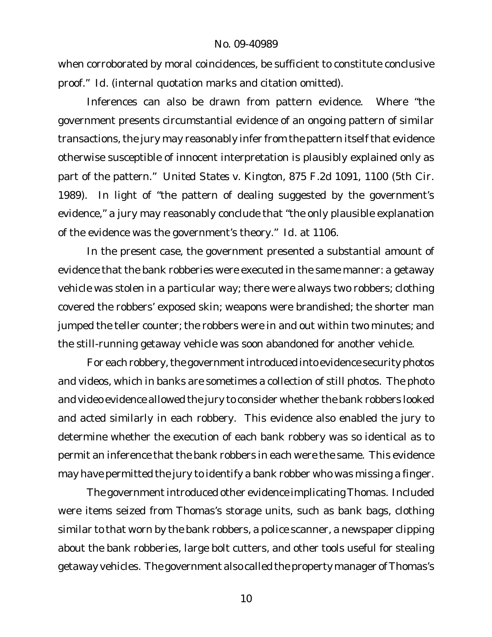when corroborated by moral coincidences, be sufficient to constitute conclusive proof." *Id.* (internal quotation marks and citation omitted).

Inferences can also be drawn from pattern evidence. Where "the government presents circumstantial evidence of an ongoing pattern of similar transactions, the jury may reasonably infer from the pattern itself that evidence otherwise susceptible of innocent interpretation is plausibly explained only as part of the pattern." *United States v. Kington*, 875 F.2d 1091, 1100 (5th Cir. 1989). In light of "the pattern of dealing suggested by the government's evidence," a jury may reasonably conclude that "the only plausible explanation of the evidence was the government's theory." *Id.* at 1106.

In the present case, the government presented a substantial amount of evidence that the bank robberies were executed in the same manner: a getaway vehicle was stolen in a particular way; there were always two robbers; clothing covered the robbers' exposed skin; weapons were brandished; the shorter man jumped the teller counter; the robbers were in and out within two minutes; and the still-running getaway vehicle was soon abandoned for another vehicle.

For each robbery, the government introduced into evidence security photos and videos, which in banks are sometimes a collection of still photos. The photo and video evidence allowed the jury to consider whether the bank robbers looked and acted similarly in each robbery. This evidence also enabled the jury to determine whether the execution of each bank robbery was so identical as to permit an inference that the bank robbers in each were the same. This evidence may have permitted the jury to identify a bank robber who was missing a finger.

The government introduced other evidence implicating Thomas. Included were items seized from Thomas's storage units, such as bank bags, clothing similar to that worn by the bank robbers, a police scanner, a newspaper clipping about the bank robberies, large bolt cutters, and other tools useful for stealing getaway vehicles. The government also called the property manager of Thomas's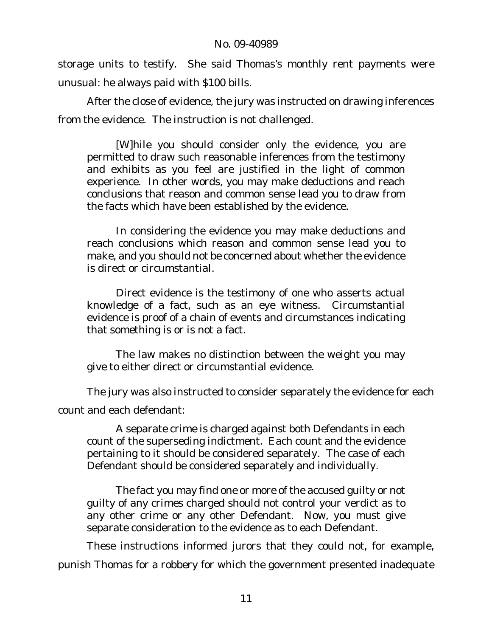storage units to testify. She said Thomas's monthly rent payments were unusual: he always paid with \$100 bills.

After the close of evidence, the jury was instructed on drawing inferences from the evidence. The instruction is not challenged.

[W]hile you should consider only the evidence, you are permitted to draw such reasonable inferences from the testimony and exhibits as you feel are justified in the light of common experience. In other words, you may make deductions and reach conclusions that reason and common sense lead you to draw from the facts which have been established by the evidence.

In considering the evidence you may make deductions and reach conclusions which reason and common sense lead you to make, and you should not be concerned about whether the evidence is direct or circumstantial.

Direct evidence is the testimony of one who asserts actual knowledge of a fact, such as an eye witness. Circumstantial evidence is proof of a chain of events and circumstances indicating that something is or is not a fact.

The law makes no distinction between the weight you may give to either direct or circumstantial evidence.

The jury was also instructed to consider separately the evidence for each count and each defendant:

A separate crime is charged against both Defendants in each count of the superseding indictment. Each count and the evidence pertaining to it should be considered separately. The case of each Defendant should be considered separately and individually.

The fact you may find one or more of the accused guilty or not guilty of any crimes charged should not control your verdict as to any other crime or any other Defendant. Now, you must give separate consideration to the evidence as to each Defendant.

These instructions informed jurors that they could not, for example, punish Thomas for a robbery for which the government presented inadequate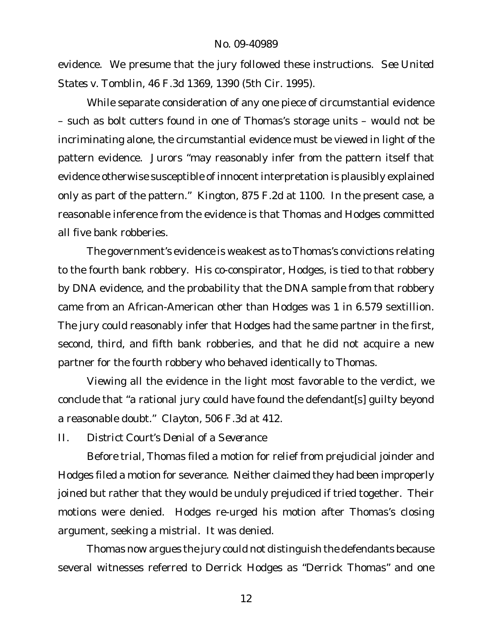evidence. We presume that the jury followed these instructions. *See United States v. Tomblin*, 46 F.3d 1369, 1390 (5th Cir. 1995).

While separate consideration of any one piece of circumstantial evidence – such as bolt cutters found in one of Thomas's storage units – would not be incriminating alone, the circumstantial evidence must be viewed in light of the pattern evidence. Jurors "may reasonably infer from the pattern itself that evidence otherwise susceptible of innocent interpretation is plausibly explained only as part of the pattern." *Kington*, 875 F.2d at 1100. In the present case, a reasonable inference from the evidence is that Thomas and Hodges committed all five bank robberies.

The government's evidence is weakest as to Thomas's convictions relating to the fourth bank robbery. His co-conspirator, Hodges, is tied to that robbery by DNA evidence, and the probability that the DNA sample from that robbery came from an African-American other than Hodges was 1 in 6.579 sextillion. The jury could reasonably infer that Hodges had the same partner in the first, second, third, and fifth bank robberies, and that he did not acquire a new partner for the fourth robbery who behaved identically to Thomas.

Viewing all the evidence in the light most favorable to the verdict, we conclude that "a rational jury could have found the defendant[s] guilty beyond a reasonable doubt." *Clayton*, 506 F.3d at 412.

*II. District Court's Denial of a Severance* 

Before trial, Thomas filed a motion for relief from prejudicial joinder and Hodges filed a motion for severance. Neither claimed they had been improperly joined but rather that they would be unduly prejudiced if tried together. Their motions were denied. Hodges re-urged his motion after Thomas's closing argument, seeking a mistrial. It was denied.

Thomas now argues the jury could not distinguish the defendants because several witnesses referred to Derrick Hodges as "Derrick Thomas" and one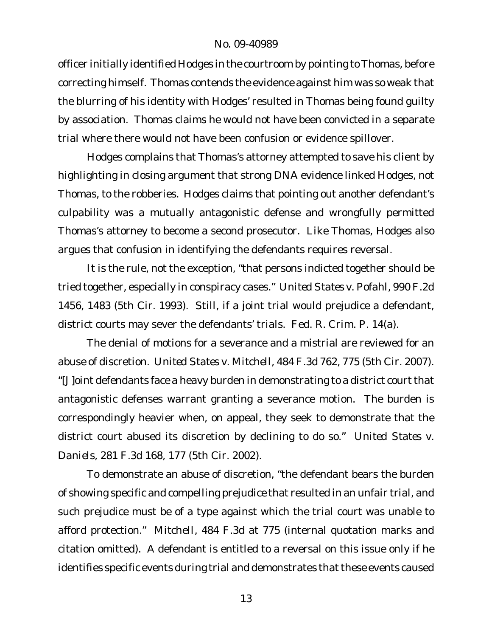officer initially identified Hodges in the courtroom by pointing to Thomas, before correcting himself. Thomas contends the evidence against him was so weak that the blurring of his identity with Hodges' resulted in Thomas being found guilty by association. Thomas claims he would not have been convicted in a separate trial where there would not have been confusion or evidence spillover.

Hodges complains that Thomas's attorney attempted to save his client by highlighting in closing argument that strong DNA evidence linked Hodges, not Thomas, to the robberies. Hodges claims that pointing out another defendant's culpability was a mutually antagonistic defense and wrongfully permitted Thomas's attorney to become a second prosecutor. Like Thomas, Hodges also argues that confusion in identifying the defendants requires reversal.

It is the rule, not the exception, "that persons indicted together should be tried together, especially in conspiracy cases." *United States v. Pofahl*, 990 F.2d 1456, 1483 (5th Cir. 1993). Still, if a joint trial would prejudice a defendant, district courts may sever the defendants' trials. Fed. R. Crim. P. 14(a).

The denial of motions for a severance and a mistrial are reviewed for an abuse of discretion. *United States v. Mitchell*, 484 F.3d 762, 775 (5th Cir. 2007). "[J]oint defendants face a heavy burden in demonstrating to a district courtthat antagonistic defenses warrant granting a severance motion. The burden is correspondingly heavier when, on appeal, they seek to demonstrate that the district court abused its discretion by declining to do so." *United States v. Daniels*, 281 F.3d 168, 177 (5th Cir. 2002).

To demonstrate an abuse of discretion, "the defendant bears the burden of showing specific and compelling prejudice that resulted in an unfair trial, and such prejudice must be of a type against which the trial court was unable to afford protection." *Mitchell*, 484 F.3d at 775 (internal quotation marks and citation omitted). A defendant is entitled to a reversal on this issue only if he identifies specific events during trial and demonstrates that these events caused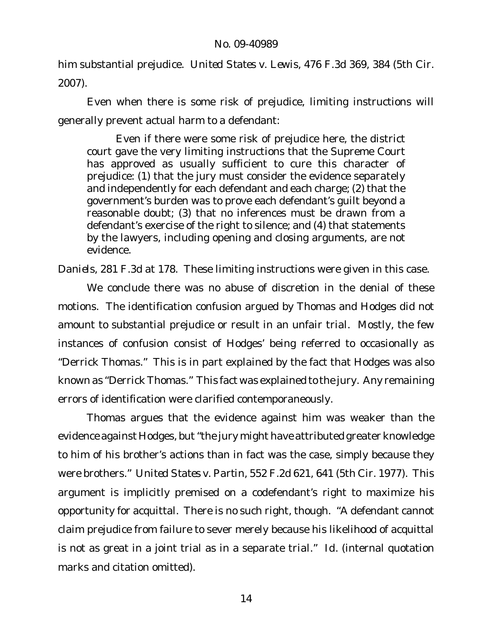him substantial prejudice. *United States v. Lewis*, 476 F.3d 369, 384 (5th Cir. 2007).

Even when there is some risk of prejudice, limiting instructions will generally prevent actual harm to a defendant:

Even if there were some risk of prejudice here, the district court gave the very limiting instructions that the Supreme Court has approved as usually sufficient to cure this character of prejudice: (1) that the jury must consider the evidence separately and independently for each defendant and each charge; (2) that the government's burden was to prove each defendant's guilt beyond a reasonable doubt; (3) that no inferences must be drawn from a defendant's exercise of the right to silence; and (4) that statements by the lawyers, including opening and closing arguments, are not evidence.

*Daniels*, 281 F.3d at 178. These limiting instructions were given in this case.

We conclude there was no abuse of discretion in the denial of these motions. The identification confusion argued by Thomas and Hodges did not amount to substantial prejudice or result in an unfair trial. Mostly, the few instances of confusion consist of Hodges' being referred to occasionally as "Derrick Thomas." This is in part explained by the fact that Hodges was also known as "Derrick Thomas." This fact was explained to the jury. Any remaining errors of identification were clarified contemporaneously.

Thomas argues that the evidence against him was weaker than the evidence against Hodges, but"the jury might have attributed greater knowledge to him of his brother's actions than in fact was the case, simply because they were brothers." *United States v. Partin*, 552 F.2d 621, 641 (5th Cir. 1977). This argument is implicitly premised on a codefendant's right to maximize his opportunity for acquittal. There is no such right, though. "A defendant cannot claim prejudice from failure to sever merely because his likelihood of acquittal is not as great in a joint trial as in a separate trial." *Id.* (internal quotation marks and citation omitted).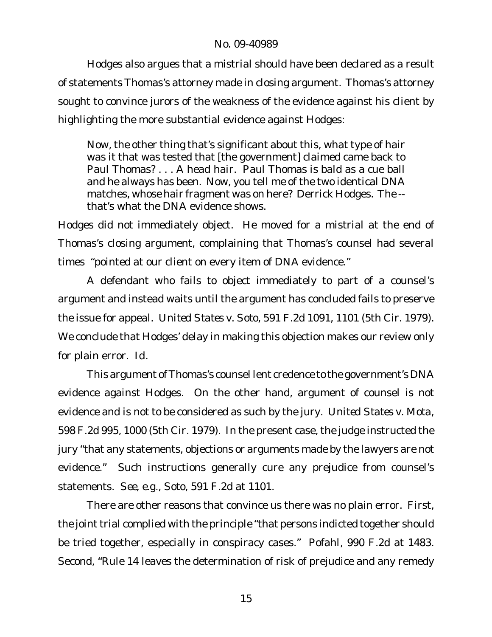Hodges also argues that a mistrial should have been declared as a result of statements Thomas's attorney made in closing argument. Thomas's attorney sought to convince jurors of the weakness of the evidence against his client by highlighting the more substantial evidence against Hodges:

Now, the other thing that's significant about this, what type of hair was it that was tested that [the government] claimed came back to Paul Thomas? . . . A head hair. Paul Thomas is bald as a cue ball and he always has been. Now, you tell me of the two identical DNA matches, whose hair fragment was on here? Derrick Hodges. The - that's what the DNA evidence shows.

Hodges did not immediately object. He moved for a mistrial at the end of Thomas's closing argument, complaining that Thomas's counsel had several times "pointed at our client on every item of DNA evidence."

A defendant who fails to object immediately to part of a counsel's argument and instead waits until the argument has concluded fails to preserve the issue for appeal. *United States v. Soto*, 591 F.2d 1091, 1101 (5th Cir. 1979). We conclude that Hodges' delay in making this objection makes our review only for plain error. *Id.*

This argument of Thomas's counsel lent credence to the government's DNA evidence against Hodges. On the other hand, argument of counsel is not evidence and is not to be considered as such by the jury. *United States v. Mota*, 598 F.2d 995, 1000 (5th Cir. 1979). In the present case, the judge instructed the jury "that any statements, objections or arguments made by the lawyers are not evidence." Such instructions generally cure any prejudice from counsel's statements. *See, e.g.*, *Soto*, 591 F.2d at 1101.

There are other reasons that convince us there was no plain error. First, the joint trial complied with the principle "that persons indicted together should be tried together, especially in conspiracy cases." *Pofahl*, 990 F.2d at 1483. Second, "Rule 14 leaves the determination of risk of prejudice and any remedy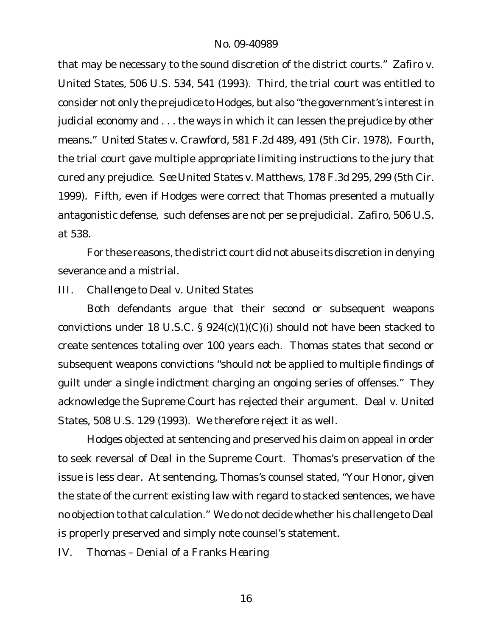that may be necessary to the sound discretion of the district courts." *Zafiro v. United States*, 506 U.S. 534, 541 (1993). Third, the trial court was entitled to consider not only the prejudice to Hodges, but also "the government's interest in judicial economy and . . . the ways in which it can lessen the prejudice by other means." *United States v. Crawford*, 581 F.2d 489, 491 (5th Cir. 1978). Fourth, the trial court gave multiple appropriate limiting instructions to the jury that cured any prejudice. *See United States v. Matthews*, 178 F.3d 295, 299 (5th Cir. 1999). Fifth, even if Hodges were correct that Thomas presented a mutually antagonistic defense, such defenses are not per se prejudicial. *Zafiro*, 506 U.S. at 538.

For these reasons, the district court did not abuse its discretion in denying severance and a mistrial.

*III. Challenge to* Deal v. United States

Both defendants argue that their second or subsequent weapons convictions under 18 U.S.C. § 924(c)(1)(C)(i) should not have been stacked to create sentences totaling over 100 years each. Thomas states that second or subsequent weapons convictions "should not be applied to multiple findings of guilt under a single indictment charging an ongoing series of offenses." They acknowledge the Supreme Court has rejected their argument. *Deal v. United States*, 508 U.S. 129 (1993). We therefore reject it as well.

Hodges objected at sentencing and preserved his claim on appeal in order to seek reversal of *Deal* in the Supreme Court. Thomas's preservation of the issue is less clear. At sentencing, Thomas's counsel stated, "Your Honor, given the state of the current existing law with regard to stacked sentences, we have no objection to that calculation." We do not decide whether his challenge to *Deal* is properly preserved and simply note counsel's statement.

*IV. Thomas – Denial of a* Franks *Hearing*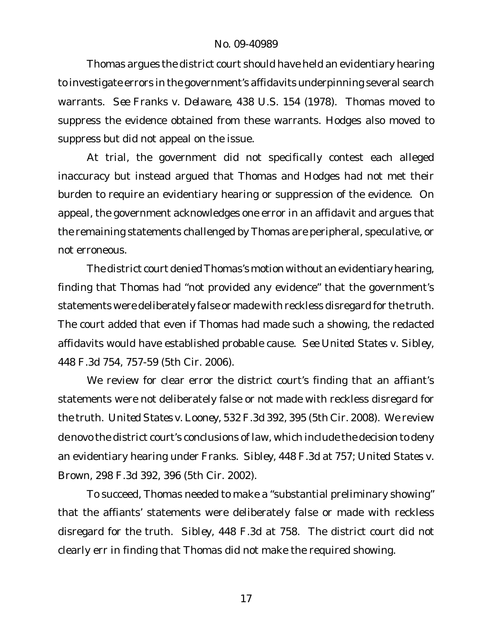Thomas argues the district court should have held an evidentiary hearing to investigate errors in the government's affidavits underpinning several search warrants. *See Franks v. Delaware*, 438 U.S. 154 (1978). Thomas moved to suppress the evidence obtained from these warrants. Hodges also moved to suppress but did not appeal on the issue.

At trial, the government did not specifically contest each alleged inaccuracy but instead argued that Thomas and Hodges had not met their burden to require an evidentiary hearing or suppression of the evidence. On appeal, the government acknowledges one error in an affidavit and argues that the remaining statements challenged by Thomas are peripheral, speculative, or not erroneous.

The district court denied Thomas's motion without an evidentiary hearing, finding that Thomas had "not provided any evidence" that the government's statements were deliberately false or made with reckless disregard for the truth. The court added that even if Thomas had made such a showing, the redacted affidavits would have established probable cause. *See United States v. Sibley*, 448 F.3d 754, 757-59 (5th Cir. 2006).

We review for clear error the district court's finding that an affiant's statements were not deliberately false or not made with reckless disregard for the truth. *United States v. Looney*, 532 F.3d 392, 395 (5th Cir. 2008). We review *de novo* the district court's conclusions of law, which include the decision to deny an evidentiary hearing under *Franks*. *Sibley*, 448 F.3d at 757; *United States v. Brown*, 298 F.3d 392, 396 (5th Cir. 2002).

To succeed, Thomas needed to make a "substantial preliminary showing" that the affiants' statements were deliberately false or made with reckless disregard for the truth. *Sibley*, 448 F.3d at 758. The district court did not clearly err in finding that Thomas did not make the required showing.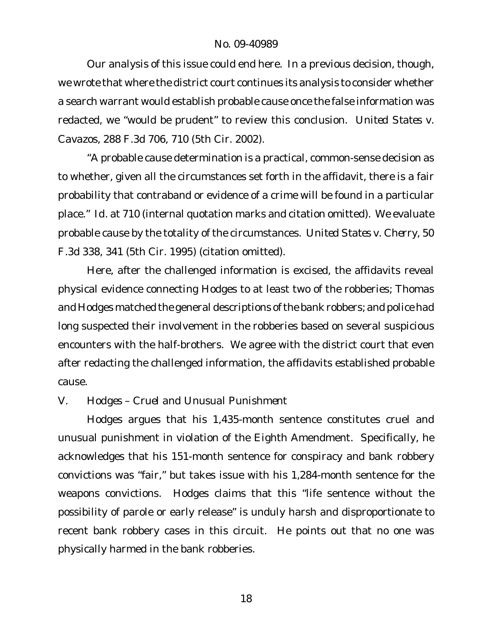Our analysis of this issue could end here. In a previous decision, though, we wrote that where the district court continues its analysis to consider whether a search warrant would establish probable cause once the false information was redacted, we "would be prudent" to review this conclusion. *United States v. Cavazos*, 288 F.3d 706, 710 (5th Cir. 2002).

"A probable cause determination is a practical, common-sense decision as to whether, given all the circumstances set forth in the affidavit, there is a fair probability that contraband or evidence of a crime will be found in a particular place." *Id.* at 710 (internal quotation marks and citation omitted). We evaluate probable cause by the totality of the circumstances. *United States v. Cherry*, 50 F.3d 338, 341 (5th Cir. 1995) (citation omitted).

Here, after the challenged information is excised, the affidavits reveal physical evidence connecting Hodges to at least two of the robberies; Thomas and Hodges matched the general descriptions of the bank robbers; and police had long suspected their involvement in the robberies based on several suspicious encounters with the half-brothers. We agree with the district court that even after redacting the challenged information, the affidavits established probable cause.

## *V. Hodges – Cruel and Unusual Punishment*

Hodges argues that his 1,435-month sentence constitutes cruel and unusual punishment in violation of the Eighth Amendment. Specifically, he acknowledges that his 151-month sentence for conspiracy and bank robbery convictions was "fair," but takes issue with his 1,284-month sentence for the weapons convictions. Hodges claims that this "life sentence without the possibility of parole or early release" is unduly harsh and disproportionate to recent bank robbery cases in this circuit. He points out that no one was physically harmed in the bank robberies.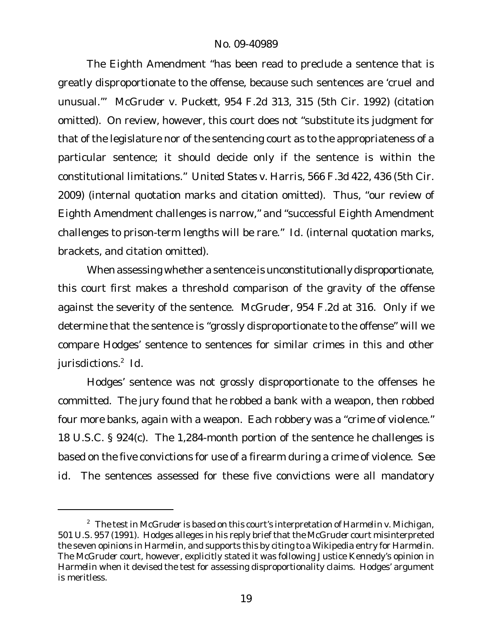The Eighth Amendment "has been read to preclude a sentence that is greatly disproportionate to the offense, because such sentences are 'cruel and unusual.'" *McGruder v. Puckett*, 954 F.2d 313, 315 (5th Cir. 1992) (citation omitted). On review, however, this court does not "substitute its judgment for that of the legislature nor of the sentencing court as to the appropriateness of a particular sentence; it should decide only if the sentence is within the constitutional limitations." *United States v. Harris*, 566 F.3d 422, 436 (5th Cir. 2009) (internal quotation marks and citation omitted). Thus, "our review of Eighth Amendment challenges is narrow," and "successful Eighth Amendment challenges to prison-term lengths will be rare." *Id.* (internal quotation marks, brackets, and citation omitted).

When assessing whether a sentence is unconstitutionally disproportionate, this court first makes a threshold comparison of the gravity of the offense against the severity of the sentence. *McGruder*, 954 F.2d at 316. Only if we determine that the sentence is "grossly disproportionate to the offense" will we compare Hodges' sentence to sentences for similar crimes in this and other jurisdictions.<sup>2</sup> *Id.*

Hodges' sentence was not grossly disproportionate to the offenses he committed. The jury found that he robbed a bank with a weapon, then robbed four more banks, again with a weapon. Each robbery was a "crime of violence." 18 U.S.C. § 924(c). The 1,284-month portion of the sentence he challenges is based on the five convictions for use of a firearm during a crime of violence. *See id*. The sentences assessed for these five convictions were all mandatory

<sup>2</sup> The test in *McGruder* is based on this court's interpretation of *Harmelin v. Michigan*, 501 U.S. 957 (1991). Hodges alleges in his reply brief that the *McGruder* court misinterpreted the seven opinions in *Harmelin*, and supports this by citing to a Wikipedia entry for *Harmelin*. The *McGruder* court, however, explicitly stated it was following Justice Kennedy's opinion in *Harmelin* when it devised the test for assessing disproportionality claims. Hodges' argument is meritless.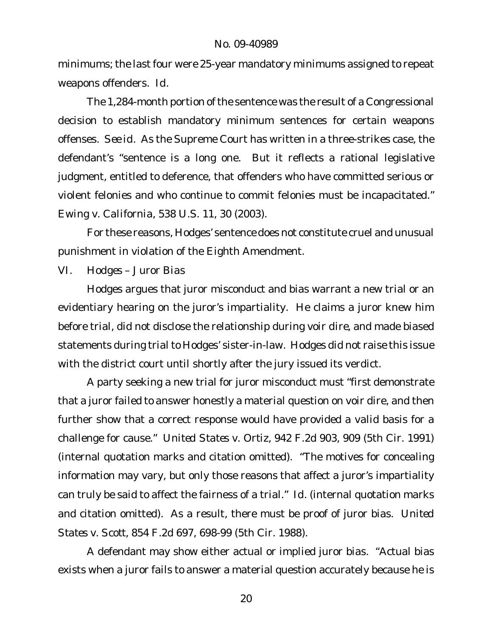minimums; the last four were 25-year mandatory minimums assigned to repeat weapons offenders. *Id.*

The 1,284-month portion of the sentence was the result of a Congressional decision to establish mandatory minimum sentences for certain weapons offenses. *See id*. As the Supreme Court has written in a three-strikes case, the defendant's "sentence is a long one. But it reflects a rational legislative judgment, entitled to deference, that offenders who have committed serious or violent felonies and who continue to commit felonies must be incapacitated." *Ewing v. California*, 538 U.S. 11, 30 (2003).

For these reasons, Hodges' sentence does not constitute cruel and unusual punishment in violation of the Eighth Amendment.

*VI. Hodges – Juror Bias*

Hodges argues that juror misconduct and bias warrant a new trial or an evidentiary hearing on the juror's impartiality. He claims a juror knew him before trial, did not disclose the relationship during *voir dire*, and made biased statements during trial to Hodges' sister-in-law. Hodges did not raise this issue with the district court until shortly after the jury issued its verdict.

A party seeking a new trial for juror misconduct must "first demonstrate that a juror failed to answer honestly a material question on voir dire, and then further show that a correct response would have provided a valid basis for a challenge for cause." *United States v. Ortiz*, 942 F.2d 903, 909 (5th Cir. 1991) (internal quotation marks and citation omitted). "The motives for concealing information may vary, but only those reasons that affect a juror's impartiality can truly be said to affect the fairness of a trial." *Id.* (internal quotation marks and citation omitted). As a result, there must be proof of juror bias. *United States v. Scott*, 854 F.2d 697, 698-99 (5th Cir. 1988).

A defendant may show either actual or implied juror bias. "Actual bias exists when a juror fails to answer a material question accurately because he is